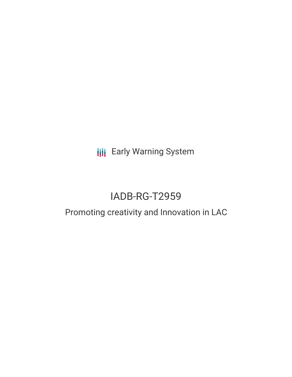**III** Early Warning System

# IADB-RG-T2959

## Promoting creativity and Innovation in LAC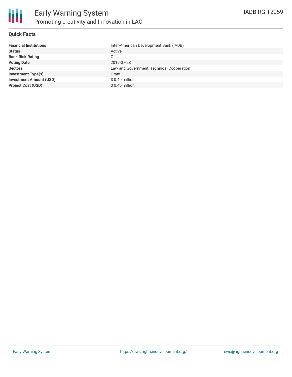

### **Quick Facts**

| <b>Financial Institutions</b>  | Inter-American Development Bank (IADB)    |
|--------------------------------|-------------------------------------------|
| <b>Status</b>                  | Active                                    |
| <b>Bank Risk Rating</b>        | C                                         |
| <b>Voting Date</b>             | 2017-07-28                                |
| <b>Sectors</b>                 | Law and Government, Technical Cooperation |
| <b>Investment Type(s)</b>      | Grant                                     |
| <b>Investment Amount (USD)</b> | $$0.40$ million                           |
| <b>Project Cost (USD)</b>      | $$0.40$ million                           |
|                                |                                           |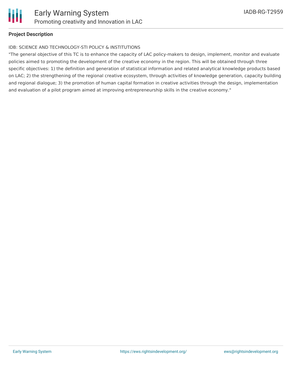

### **Project Description**

#### IDB: SCIENCE AND TECHNOLOGY-STI POLICY & INSTITUTIONS

"The general objective of this TC is to enhance the capacity of LAC policy-makers to design, implement, monitor and evaluate policies aimed to promoting the development of the creative economy in the region. This will be obtained through three specific objectives: 1) the definition and generation of statistical information and related analytical knowledge products based on LAC; 2) the strengthening of the regional creative ecosystem, through activities of knowledge generation, capacity building and regional dialogue; 3) the promotion of human capital formation in creative activities through the design, implementation and evaluation of a pilot program aimed at improving entrepreneurship skills in the creative economy."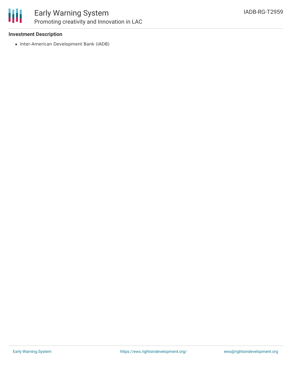

### Early Warning System Promoting creativity and Innovation in LAC

### **Investment Description**

• Inter-American Development Bank (IADB)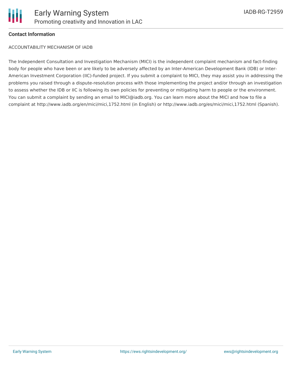

### **Contact Information**

ACCOUNTABILITY MECHANISM OF IADB

The Independent Consultation and Investigation Mechanism (MICI) is the independent complaint mechanism and fact-finding body for people who have been or are likely to be adversely affected by an Inter-American Development Bank (IDB) or Inter-American Investment Corporation (IIC)-funded project. If you submit a complaint to MICI, they may assist you in addressing the problems you raised through a dispute-resolution process with those implementing the project and/or through an investigation to assess whether the IDB or IIC is following its own policies for preventing or mitigating harm to people or the environment. You can submit a complaint by sending an email to MICI@iadb.org. You can learn more about the MICI and how to file a complaint at http://www.iadb.org/en/mici/mici,1752.html (in English) or http://www.iadb.org/es/mici/mici,1752.html (Spanish).